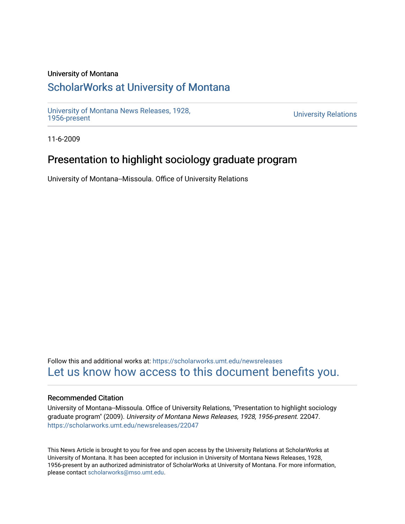#### University of Montana

## [ScholarWorks at University of Montana](https://scholarworks.umt.edu/)

[University of Montana News Releases, 1928,](https://scholarworks.umt.edu/newsreleases) 

**University Relations** 

11-6-2009

## Presentation to highlight sociology graduate program

University of Montana--Missoula. Office of University Relations

Follow this and additional works at: [https://scholarworks.umt.edu/newsreleases](https://scholarworks.umt.edu/newsreleases?utm_source=scholarworks.umt.edu%2Fnewsreleases%2F22047&utm_medium=PDF&utm_campaign=PDFCoverPages) [Let us know how access to this document benefits you.](https://goo.gl/forms/s2rGfXOLzz71qgsB2) 

#### Recommended Citation

University of Montana--Missoula. Office of University Relations, "Presentation to highlight sociology graduate program" (2009). University of Montana News Releases, 1928, 1956-present. 22047. [https://scholarworks.umt.edu/newsreleases/22047](https://scholarworks.umt.edu/newsreleases/22047?utm_source=scholarworks.umt.edu%2Fnewsreleases%2F22047&utm_medium=PDF&utm_campaign=PDFCoverPages) 

This News Article is brought to you for free and open access by the University Relations at ScholarWorks at University of Montana. It has been accepted for inclusion in University of Montana News Releases, 1928, 1956-present by an authorized administrator of ScholarWorks at University of Montana. For more information, please contact [scholarworks@mso.umt.edu.](mailto:scholarworks@mso.umt.edu)